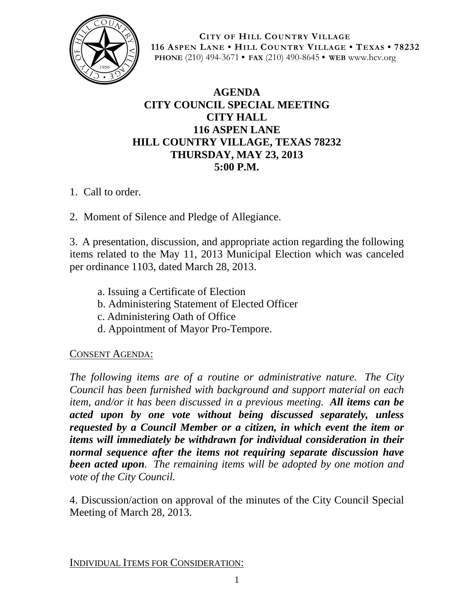

**CITY OF HILL COUNTRY VILLAGE 116 ASPEN LANE • HILL COUNTRY VILLAGE • TEXAS • 78232 PHONE** (210) 494-3671 **• FAX** (210) 490-8645 **• WEB** www.hcv.org

## **AGENDA CITY COUNCIL SPECIAL MEETING CITY HALL 116 ASPEN LANE HILL COUNTRY VILLAGE, TEXAS 78232 THURSDAY, MAY 23, 2013 5:00 P.M.**

- 1. Call to order.
- 2. Moment of Silence and Pledge of Allegiance.

3. A presentation, discussion, and appropriate action regarding the following items related to the May 11, 2013 Municipal Election which was canceled per ordinance 1103, dated March 28, 2013.

- a. Issuing a Certificate of Election
- b. Administering Statement of Elected Officer
- c. Administering Oath of Office
- d. Appointment of Mayor Pro-Tempore.

## CONSENT AGENDA:

*The following items are of a routine or administrative nature. The City Council has been furnished with background and support material on each item, and/or it has been discussed in a previous meeting. All items can be acted upon by one vote without being discussed separately, unless requested by a Council Member or a citizen, in which event the item or items will immediately be withdrawn for individual consideration in their normal sequence after the items not requiring separate discussion have been acted upon. The remaining items will be adopted by one motion and vote of the City Council.*

4. Discussion/action on approval of the minutes of the City Council Special Meeting of March 28, 2013.

INDIVIDUAL ITEMS FOR CONSIDERATION: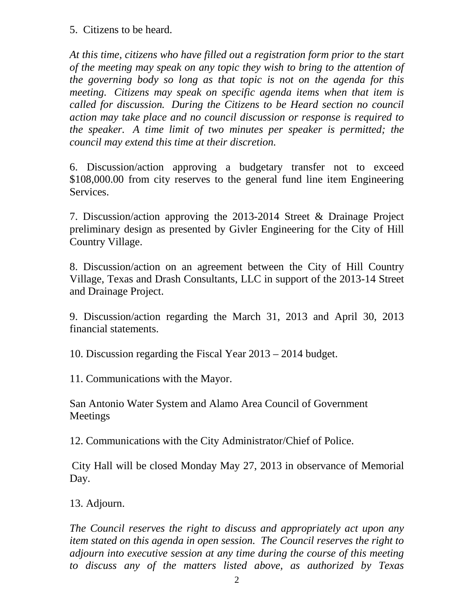5. Citizens to be heard.

*At this time, citizens who have filled out a registration form prior to the start of the meeting may speak on any topic they wish to bring to the attention of the governing body so long as that topic is not on the agenda for this meeting. Citizens may speak on specific agenda items when that item is called for discussion. During the Citizens to be Heard section no council action may take place and no council discussion or response is required to the speaker. A time limit of two minutes per speaker is permitted; the council may extend this time at their discretion.*

6. Discussion/action approving a budgetary transfer not to exceed \$108,000.00 from city reserves to the general fund line item Engineering Services.

7. Discussion/action approving the 2013-2014 Street & Drainage Project preliminary design as presented by Givler Engineering for the City of Hill Country Village.

8. Discussion/action on an agreement between the City of Hill Country Village, Texas and Drash Consultants, LLC in support of the 2013-14 Street and Drainage Project.

9. Discussion/action regarding the March 31, 2013 and April 30, 2013 financial statements.

10. Discussion regarding the Fiscal Year 2013 – 2014 budget.

11. Communications with the Mayor.

San Antonio Water System and Alamo Area Council of Government Meetings

12. Communications with the City Administrator/Chief of Police.

 City Hall will be closed Monday May 27, 2013 in observance of Memorial Day.

13. Adjourn.

*The Council reserves the right to discuss and appropriately act upon any item stated on this agenda in open session. The Council reserves the right to adjourn into executive session at any time during the course of this meeting to discuss any of the matters listed above, as authorized by Texas*